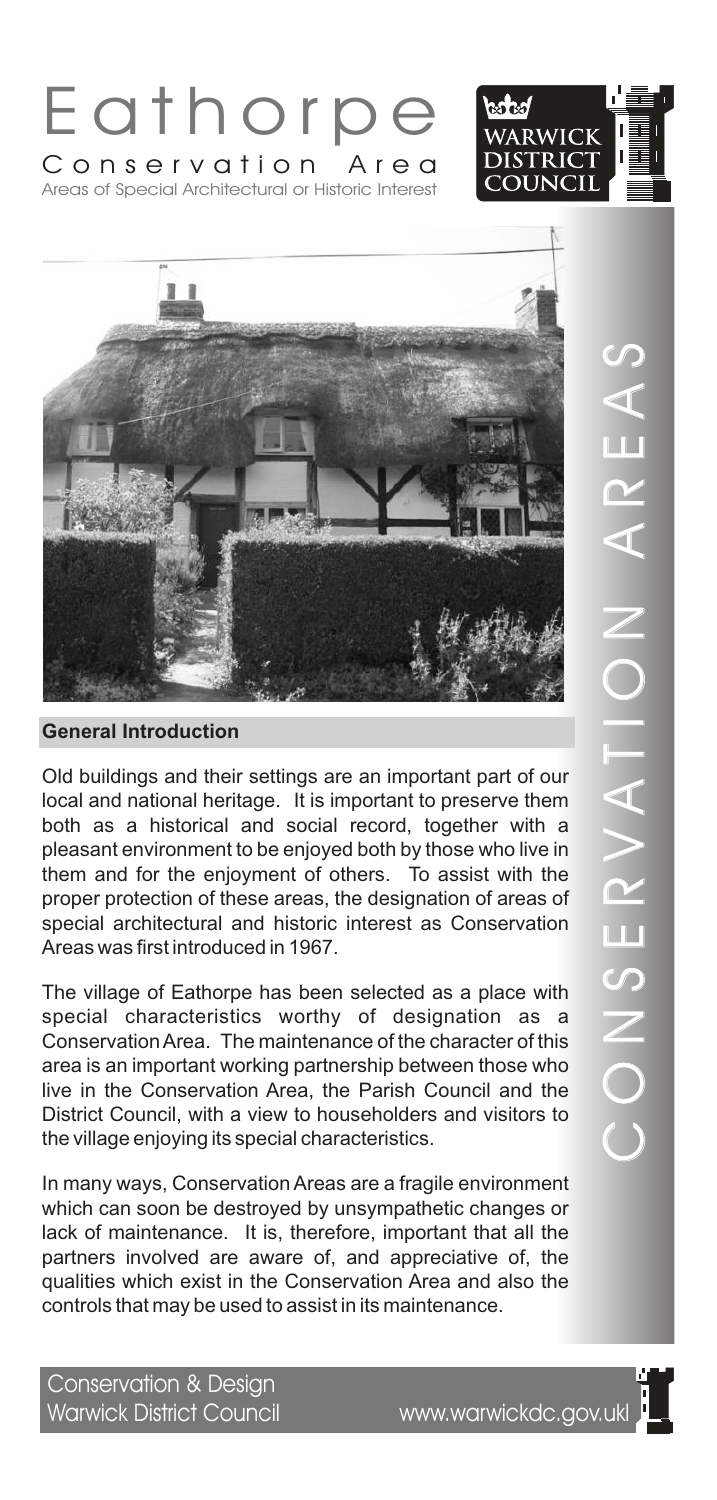





Old buildings and their settings are an important part of our local and national heritage. It is important to preserve them both as a historical and social record, together with a pleasant environment to be enjoyed both by those who live in them and for the enjoyment of others. To assist with the proper protection of these areas, the designation of areas of special architectural and historic interest as Conservation Areas was first introduced in 1967.

The village of Eathorpe has been selected as a place with special characteristics worthy of designation as a Conservation Area. The maintenance of the character of this area is an important working partnership between those who live in the Conservation Area, the Parish Council and the District Council, with a view to householders and visitors to the village enjoying its special characteristics.

In many ways, Conservation Areas are a fragile environment which can soon be destroyed by unsympathetic changes or lack of maintenance. It is, therefore, important that all the partners involved are aware of, and appreciative of, the qualities which exist in the Conservation Area and also the controls that may be used to assist in its maintenance.

Conservation & Design Warwick District Council www.warwickdc.gov.ukl

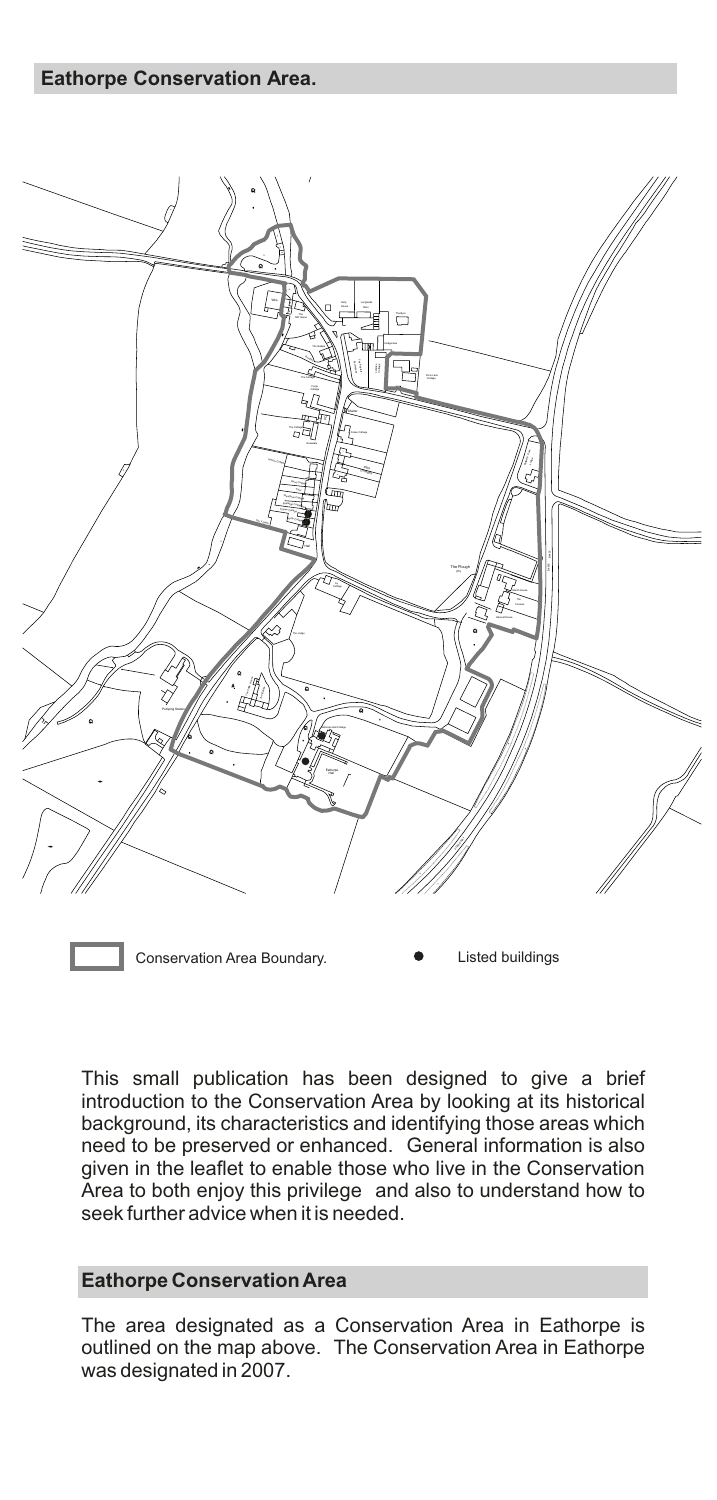

Conservation Area Boundary. **Conservation Area Boundary. Conservation Area Boundary.** 

This small publication has been designed to give a brief introduction to the Conservation Area by looking at its historical background, its characteristics and identifying those areas which need to be preserved or enhanced. General information is also given in the leaflet to enable those who live in the Conservation Area to both enjoy this privilege and also to understand how to seek further advice when it is needed.

#### **Eathorpe Conservation Area**

The area designated as a Conservation Area in Eathorpe is outlined on the map above. The Conservation Area in Eathorpe was designated in 2007.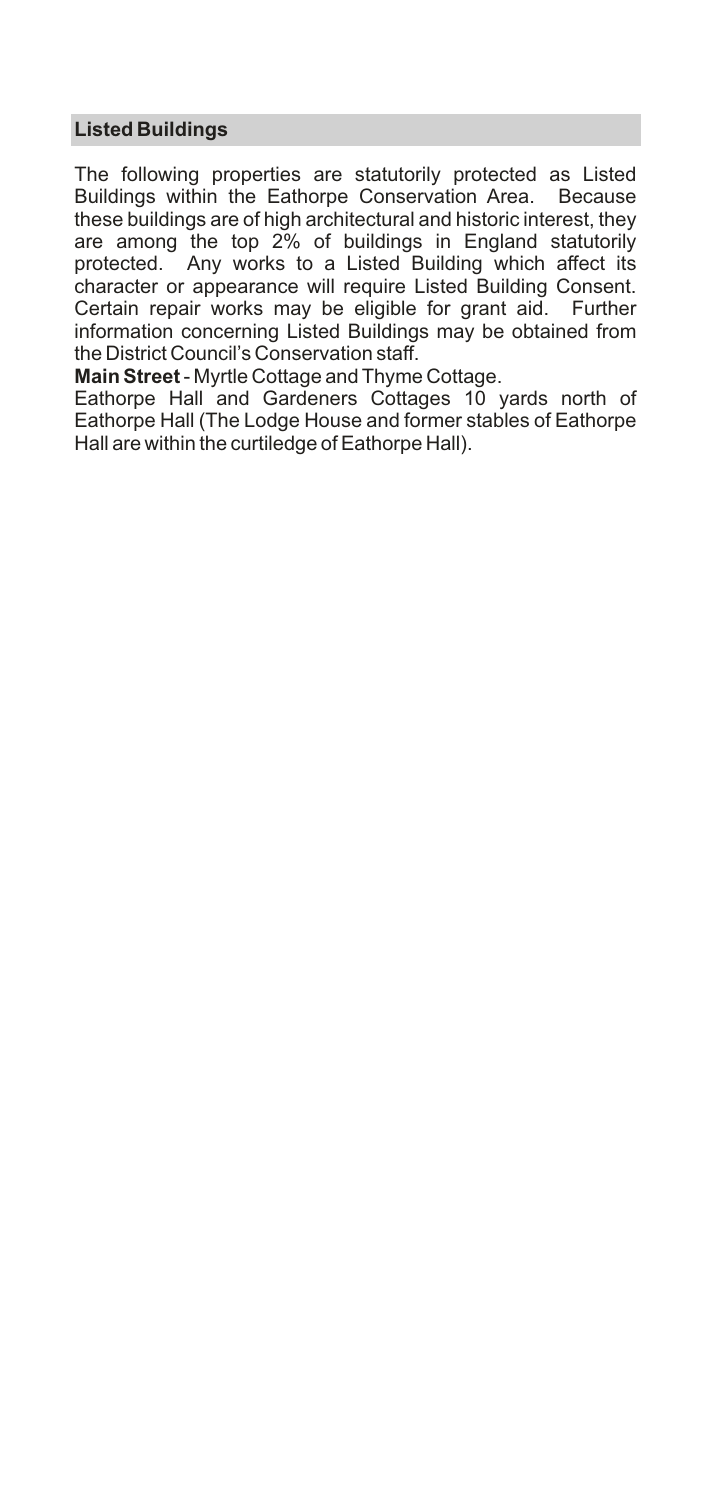# **Listed Buildings**

The following properties are statutorily protected as Listed Buildings within the Eathorpe Conservation Area. Because these buildings are of high architectural and historic interest, they are among the top 2% of buildings in England statutorily protected. Any works to a Listed Building which affect its character or appearance will require Listed Building Consent. Certain repair works may be eligible for grant aid. Further information concerning Listed Buildings may be obtained from the District Council's Conservation staff.

**Main Street** - Myrtle Cottage and Thyme Cottage.

Eathorpe Hall and Gardeners Cottages 10 yards north of Eathorpe Hall (The Lodge House and former stables of Eathorpe Hall are within the curtiledge of Eathorpe Hall).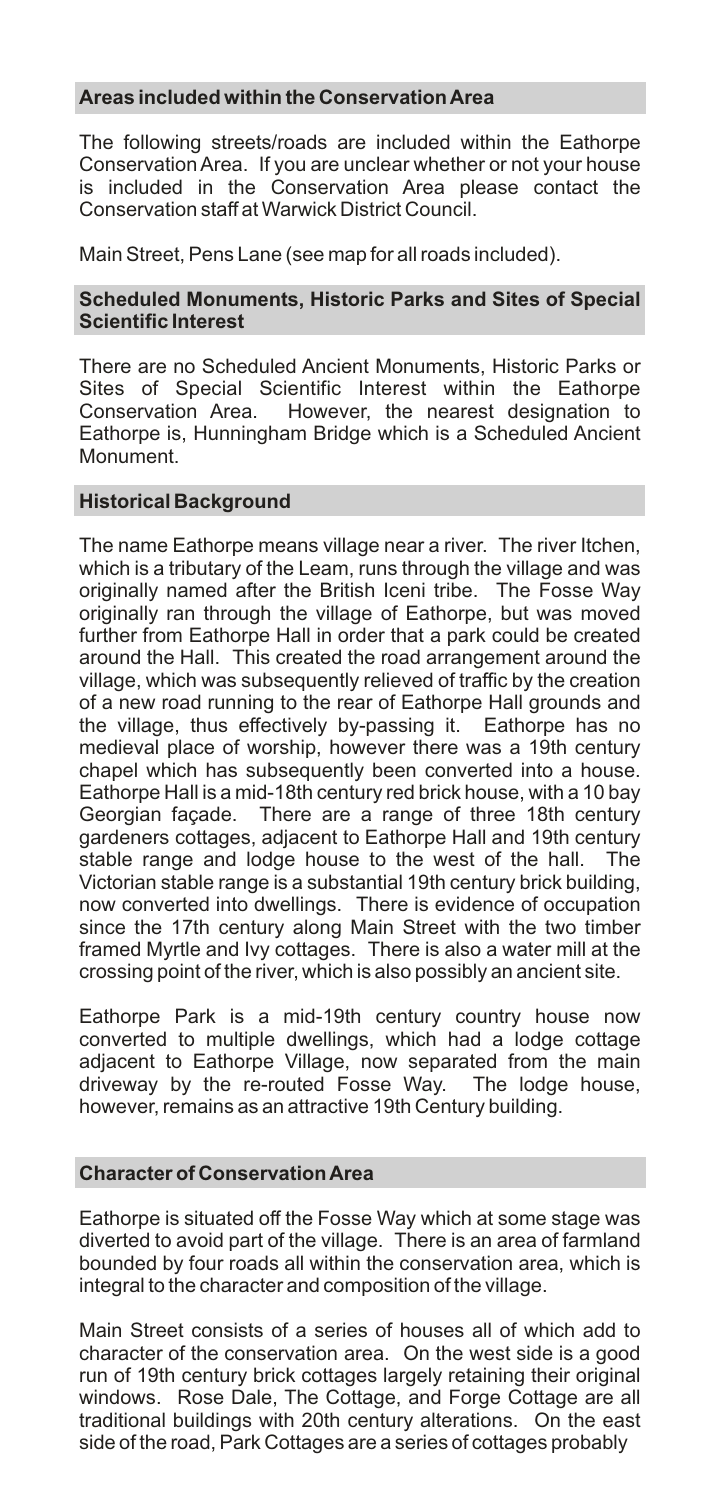## **Areas included within the Conservation Area**

The following streets/roads are included within the Eathorpe Conservation Area. If you are unclear whether or not your house is included in the Conservation Area please contact the Conservation staff at Warwick District Council.

Main Street, Pens Lane (see map for all roads included).

## **Scheduled Monuments, Historic Parks and Sites of Special Scientific Interest**

There are no Scheduled Ancient Monuments, Historic Parks or Sites of Special Scientific Interest within the Eathorpe Conservation Area. However, the nearest designation to However, the nearest designation to Eathorpe is, Hunningham Bridge which is a Scheduled Ancient Monument.

## **Historical Background**

The name Eathorpe means village near a river. The river Itchen, which is a tributary of the Leam, runs through the village and was originally named after the British Iceni tribe. The Fosse Way originally ran through the village of Eathorpe, but was moved further from Eathorpe Hall in order that a park could be created around the Hall. This created the road arrangement around the village, which was subsequently relieved of traffic by the creation of a new road running to the rear of Eathorpe Hall grounds and the village, thus effectively by-passing it. Eathorpe has no medieval place of worship, however there was a 19th century chapel which has subsequently been converted into a house. Eathorpe Hall is a mid-18th century red brick house, with a 10 bay Georgian façade. There are a range of three 18th century gardeners cottages, adjacent to Eathorpe Hall and 19th century stable range and lodge house to the west of the hall. The Victorian stable range is a substantial 19th century brick building, now converted into dwellings. There is evidence of occupation since the 17th century along Main Street with the two timber framed Myrtle and Ivy cottages. There is also a water mill at the crossing point of the river, which is also possibly an ancient site.

Eathorpe Park is a mid-19th century country house now converted to multiple dwellings, which had a lodge cottage adjacent to Eathorpe Village, now separated from the main driveway by the re-routed Fosse Way. The lodge house, however, remains as an attractive 19th Century building.

## **Character of Conservation Area**

Eathorpe is situated off the Fosse Way which at some stage was diverted to avoid part of the village. There is an area of farmland bounded by four roads all within the conservation area, which is integral to the character and composition of the village.

Main Street consists of a series of houses all of which add to character of the conservation area. On the west side is a good run of 19th century brick cottages largely retaining their original windows. Rose Dale, The Cottage, and Forge Cottage are all traditional buildings with 20th century alterations. On the east side of the road, Park Cottages are a series of cottages probably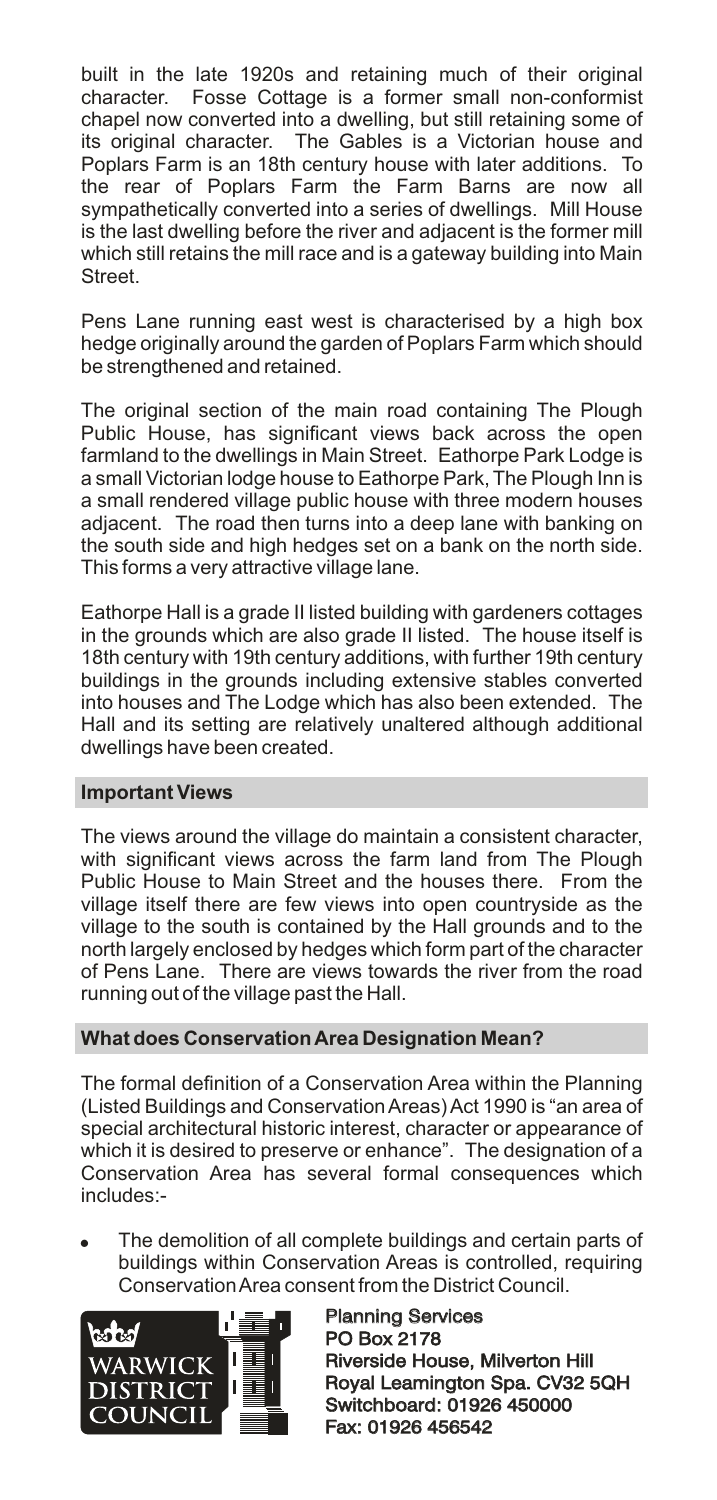built in the late 1920s and retaining much of their original character. Fosse Cottage is a former small non-conformist chapel now converted into a dwelling, but still retaining some of its original character. The Gables is a Victorian house and Poplars Farm is an 18th century house with later additions. To the rear of Poplars Farm the Farm Barns are now all sympathetically converted into a series of dwellings. Mill House is the last dwelling before the river and adjacent is the former mill which still retains the mill race and is a gateway building into Main Street.

Pens Lane running east west is characterised by a high box hedge originally around the garden of Poplars Farm which should be strengthened and retained.

The original section of the main road containing The Plough Public House, has significant views back across the open farmland to the dwellings in Main Street. Eathorpe Park Lodge is a small Victorian lodge house to Eathorpe Park, The Plough Inn is a small rendered village public house with three modern houses adjacent. The road then turns into a deep lane with banking on the south side and high hedges set on a bank on the north side. This forms a very attractive village lane.

Eathorpe Hall is a grade II listed building with gardeners cottages in the grounds which are also grade II listed. The house itself is 18th century with 19th century additions, with further 19th century buildings in the grounds including extensive stables converted into houses and The Lodge which has also been extended. The Hall and its setting are relatively unaltered although additional dwellings have been created.

## **Important Views**

The views around the village do maintain a consistent character, with significant views across the farm land from The Plough Public House to Main Street and the houses there. From the village itself there are few views into open countryside as the village to the south is contained by the Hall grounds and to the north largely enclosed by hedges which form part of the character of Pens Lane. There are views towards the river from the road running out of the village past the Hall.

# **What does Conservation Area Designation Mean?**

The formal definition of a Conservation Area within the Planning (Listed Buildings and Conservation Areas) Act 1990 is "an area of special architectural historic interest, character or appearance of which it is desired to preserve or enhance". The designation of a Conservation Area has several formal consequences which includes:-

The demolition of all complete buildings and certain parts of buildings within Conservation Areas is controlled, requiring Conservation Area consent from the District Council.



Planning Services PO Box 2178 Planning Services<br>PO Box 2178<br>Riverside House, Milverton Hill Royal Leamington Spa. CV32 5QH<br>Switchboard: 01926 450000<br>Fax: 01926 456542 Switchboard: 01926 450000 Fax: 01926 456542